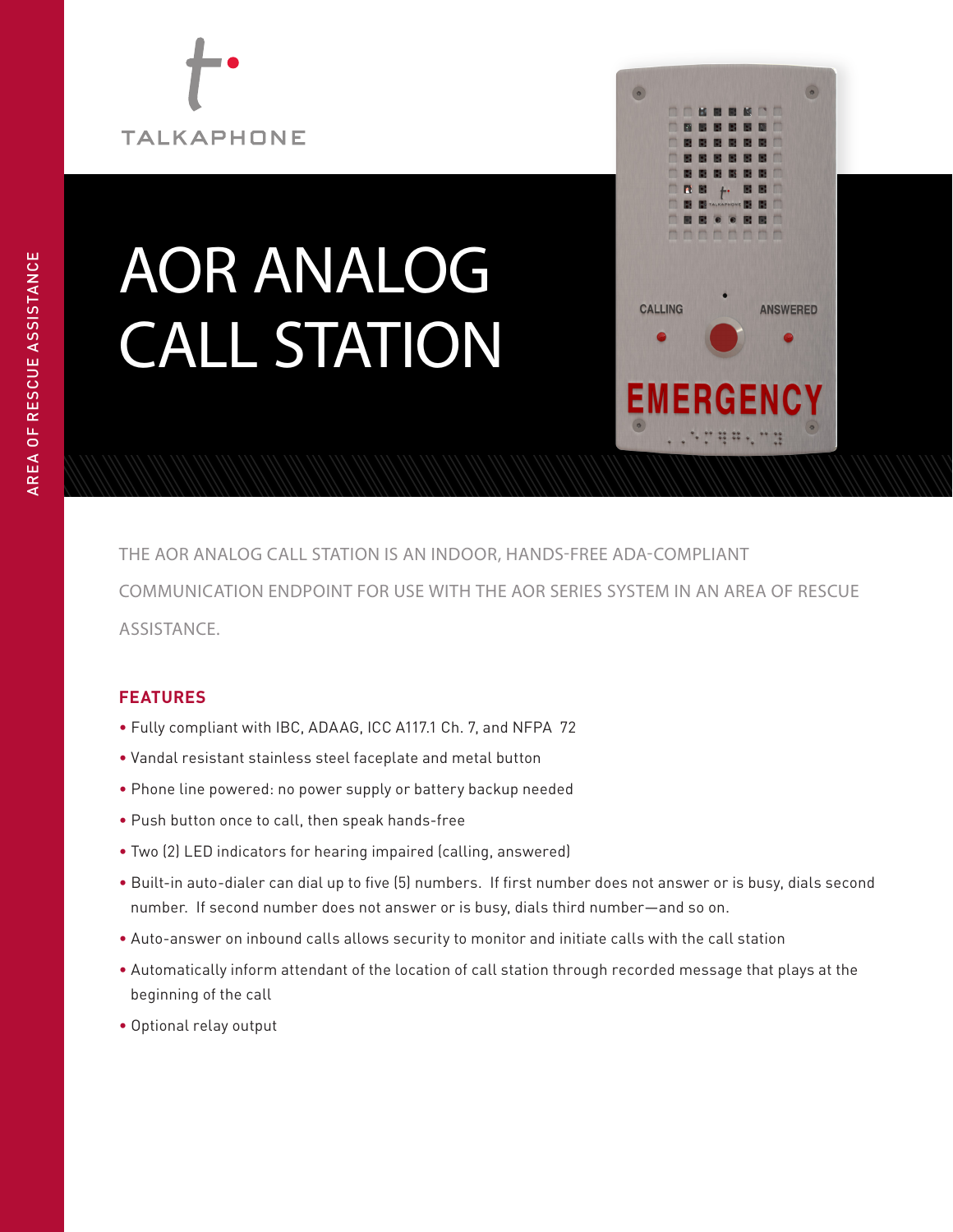# **TALKAPHONE**

## AOR ANALOG CALL STATION



THE AOR ANALOG CALL STATION IS AN INDOOR, HANDS-FREE ADA-COMPLIANT COMMUNICATION ENDPOINT FOR USE WITH THE AOR SERIES SYSTEM IN AN AREA OF RESCUE ASSISTANCE.

### **FEATURES**

- Fully compliant with IBC, ADAAG, ICC A117.1 Ch. 7, and NFPA 72
- Vandal resistant stainless steel faceplate and metal button
- Phone line powered: no power supply or battery backup needed
- Push button once to call, then speak hands-free
- Two (2) LED indicators for hearing impaired (calling, answered)
- Built-in auto-dialer can dial up to five (5) numbers. If first number does not answer or is busy, dials second number. If second number does not answer or is busy, dials third number—and so on.
- Auto-answer on inbound calls allows security to monitor and initiate calls with the call station
- Automatically inform attendant of the location of call station through recorded message that plays at the beginning of the call
- Optional relay output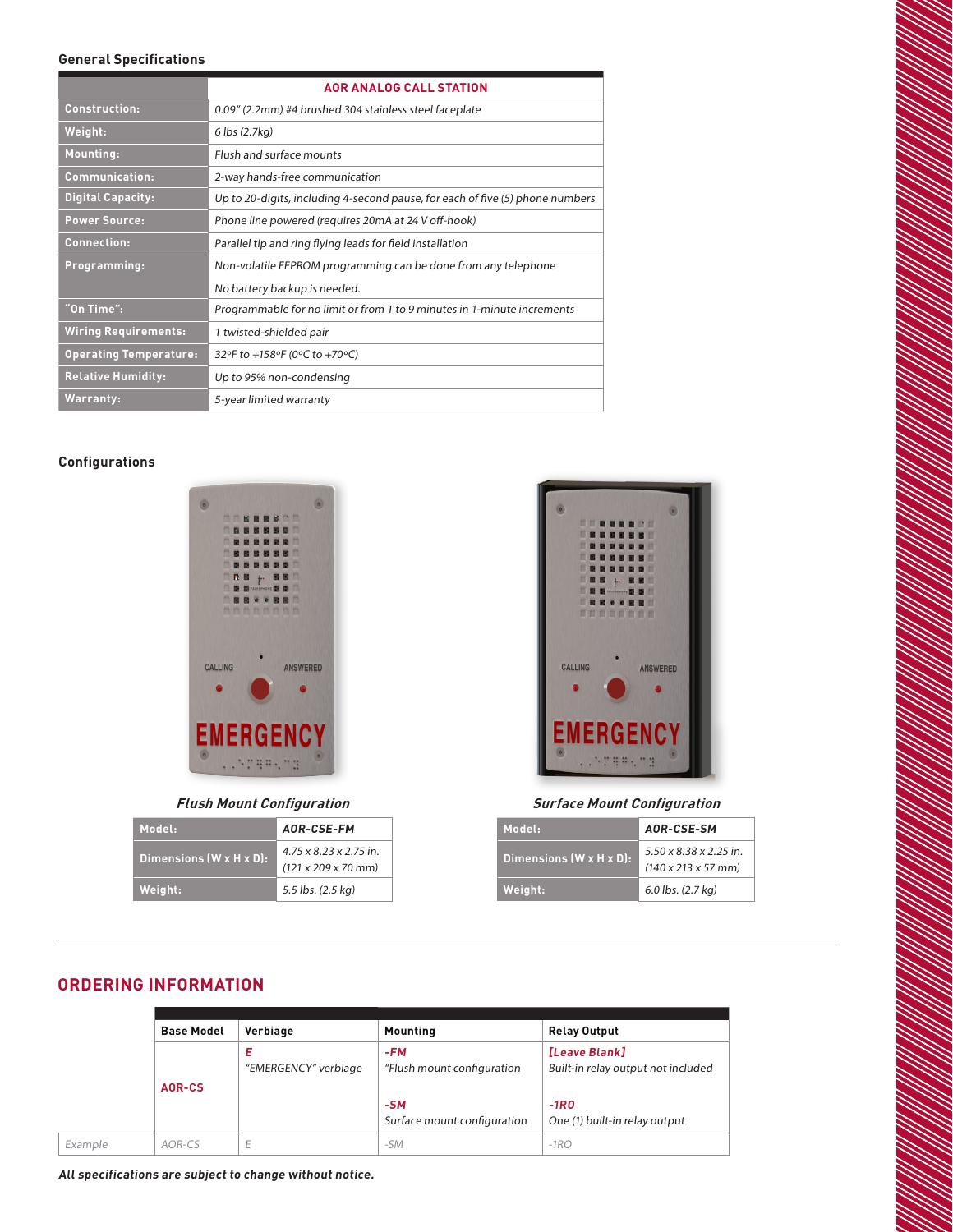#### **General Specifications**

|                               | <b>AOR ANALOG CALL STATION</b>                                                |  |  |
|-------------------------------|-------------------------------------------------------------------------------|--|--|
| <b>Construction:</b>          | 0.09" (2.2mm) #4 brushed 304 stainless steel faceplate                        |  |  |
| Weight:                       | 6 lbs (2.7kg)                                                                 |  |  |
| <b>Mounting:</b>              | Flush and surface mounts                                                      |  |  |
| <b>Communication:</b>         | 2-way hands-free communication                                                |  |  |
| <b>Digital Capacity:</b>      | Up to 20-digits, including 4-second pause, for each of five (5) phone numbers |  |  |
| <b>Power Source:</b>          | Phone line powered (requires 20mA at 24 V off-hook)                           |  |  |
| <b>Connection:</b>            | Parallel tip and ring flying leads for field installation                     |  |  |
| Programming:                  | Non-volatile EEPROM programming can be done from any telephone                |  |  |
|                               | No battery backup is needed.                                                  |  |  |
| "On Time":                    | Programmable for no limit or from 1 to 9 minutes in 1-minute increments       |  |  |
| <b>Wiring Requirements:</b>   | 1 twisted-shielded pair                                                       |  |  |
| <b>Operating Temperature:</b> | 32°F to +158°F (0°C to +70°C)                                                 |  |  |
| <b>Relative Humidity:</b>     | Up to 95% non-condensing                                                      |  |  |
| <b>Warranty:</b>              | 5-year limited warranty                                                       |  |  |

#### **Configurations**



**Flush Mount Configuration**

| Model:                  | AOR-CSE-FM                                                                    |  |
|-------------------------|-------------------------------------------------------------------------------|--|
| Dimensions (W x H x D): | $4.75 \times 8.23 \times 2.75$ in.<br>$(121 \times 209 \times 70 \text{ mm})$ |  |
| Weight:                 | 5.5 lbs. (2.5 kg)                                                             |  |



#### **Surface Mount Configuration**

| Model:                  | AOR-CSE-SM                                                            |  |
|-------------------------|-----------------------------------------------------------------------|--|
| Dimensions (W x H x D): | $5.50 \times 8.38 \times 2.25$ in.<br>$(140 \times 213 \times 57$ mm) |  |
| Weight:                 | $6.0$ lbs. $(2.7 \text{ kg})$                                         |  |

#### **ORDERING INFORMATION**

|         | <b>Base Model</b> | Verbiage                  | <b>Mounting</b>                                                             | <b>Relay Output</b>                                                                            |  |  |  |
|---------|-------------------|---------------------------|-----------------------------------------------------------------------------|------------------------------------------------------------------------------------------------|--|--|--|
|         | AOR-CS            | Е<br>"EMERGENCY" verbiage | $-FM$<br>"Flush mount configuration<br>$-SM$<br>Surface mount configuration | [Leave Blank]<br>Built-in relay output not included<br>$-1RO$<br>One (1) built-in relay output |  |  |  |
| Example | AOR-CS            | E                         | $-SM$                                                                       | $-1RO$                                                                                         |  |  |  |

**All specifications are subject to change without notice.**